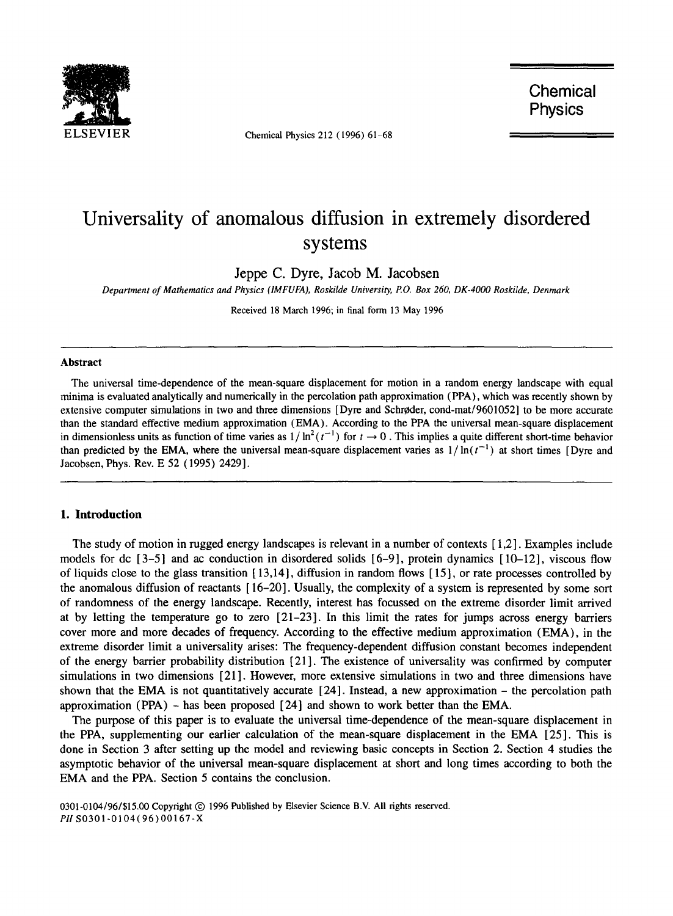

Chemical Physics 212 (1996) 61-68

**Chemical Physics** 

# **Universality of anomalous diffusion in extremely disordered systems**

Jeppe C. Dyre, Jacob M. Jacobsen

*Department of Mathematics and Physics (IMFUFA), Roskilde University, P.O. Box 260, DK-4000 Roskilde, Denmark* 

Received 18 March 1996; in final form 13 May 1996

#### **Abstract**

The universal time-dependence of the mean-square displacement for motion in a random energy landscape with equal minima is evaluated analytically and numerically in the percolation path approximation (PPA), which was recently shown by extensive computer simulations in two and three dimensions [Dyre and Schrøder, cond-mat/9601052] to be more accurate than the standard effective medium approximation (EMA). According to the PPA the universal mean-square displacement in dimensionless units as function of time varies as  $1/\ln^2(t^{-1})$  for  $t \to 0$ . This implies a quite different short-time behavior than predicted by the EMA, where the universal mean-square displacement varies as  $1/\ln(t^{-1})$  at short times [Dyre and Jacobsen, Phys. Rev. E 52 (1995) 2429].

#### **1. Introduction**

The study of motion in rugged energy landscapes is relevant in a number of contexts [ 1,2]. Examples include models for dc [3-5] and ac conduction in disordered solids [6-9], protein dynamics [10-12], viscous flow of liquids close to the glass transition  $[13,14]$ , diffusion in random flows  $[15]$ , or rate processes controlled by the anomalous diffusion of reactants [ 16-20]. Usually, the complexity of a system is represented by some sort of randomness of the energy landscape. Recently, interest has focussed on the extreme disorder limit arrived at by letting the temperature go to zero [21-23]. In this limit the rates for jumps across energy barriers cover more and more decades of frequency. According to the effective medium approximation (EMA), in the extreme disorder limit a universality arises: The frequency-dependent diffusion constant becomes independent of the energy barrier probability distribution [21 ]. The existence of universality was confirmed by computer simulations in two dimensions [21]. However, more extensive simulations in two and three dimensions have shown that the EMA is not quantitatively accurate  $[24]$ . Instead, a new approximation – the percolation path approximation (PPA) - has been proposed [24] and shown to work better than the EMA.

The purpose of this paper is to evaluate the universal time-dependence of the mean-square displacement in the PPA, supplementing our earlier calculation of the mean-square displacement in the EMA [25]. This is done in Section 3 after setting up the model and reviewing basic concepts in Section 2. Section 4 studies the asymptotic behavior of the universal mean-square displacement at short and long times according to both the EMA and the PPA. Section 5 contains the conclusion.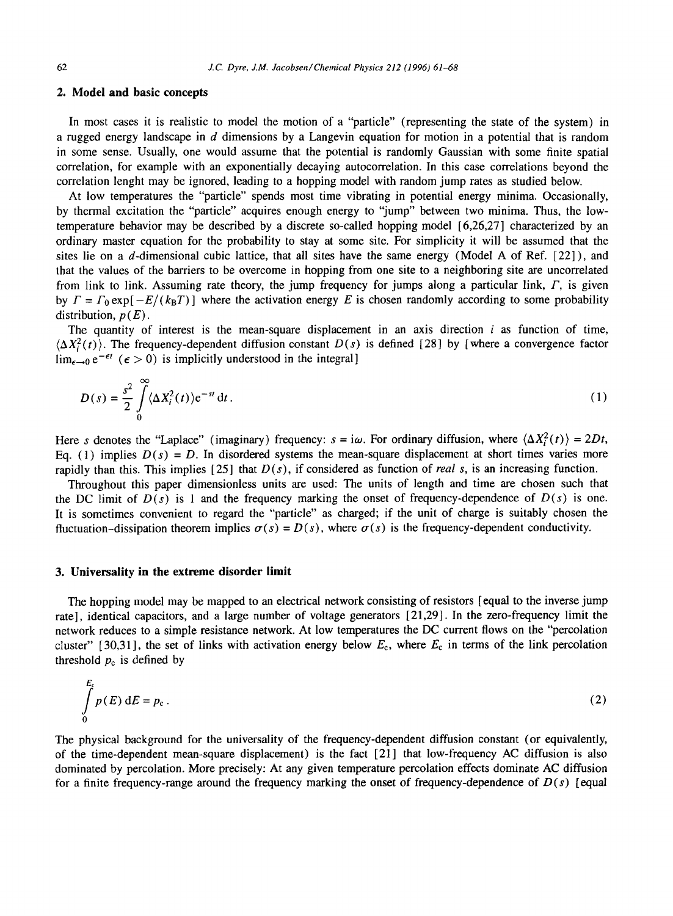# **2. Model and basic concepts**

In most cases it is realistic to model the motion of a "particle" (representing the state of the system) in a rugged energy landscape in  $d$  dimensions by a Langevin equation for motion in a potential that is random in some sense. Usually, one would assume that the potential is randomly Gaussian with some finite spatial correlation, for example with an exponentially decaying autocorrelation. In this case correlations beyond the correlation lenght may be ignored, leading to a hopping model with random jump rates as studied below.

At low temperatures the "particle" spends most time vibrating in potential energy minima. Occasionally, by thermal excitation the "particle" acquires enough energy to "jump" between two minima. Thus, the lowtemperature behavior may be described by a discrete so-called hopping model [6,26,27] characterized by an ordinary master equation for the probability to stay at some site. For simplicity it will be assumed that the sites lie on a d-dimensional cubic lattice, that all sites have the same energy (Model A of Ref. [22] ), and that the values of the barriers to be overcome in hopping from one site to a neighboring site are uncorrelated from link to link. Assuming rate theory, the jump frequency for jumps along a particular link,  $\Gamma$ , is given by  $\Gamma = \Gamma_0 \exp[-E/(k_B T)]$  where the activation energy E is chosen randomly according to some probability distribution,  $p(E)$ .

The quantity of interest is the mean-square displacement in an axis direction  $i$  as function of time,  $\langle \Delta X_i^2(t) \rangle$ . The frequency-dependent diffusion constant  $D(s)$  is defined [28] by [where a convergence factor  $\lim_{\epsilon \to 0} e^{-\epsilon t}$  ( $\epsilon > 0$ ) is implicitly understood in the integral]

$$
D(s) = \frac{s^2}{2} \int_0^\infty \langle \Delta X_i^2(t) \rangle e^{-st} dt. \tag{1}
$$

Here s denotes the "Laplace" (imaginary) frequency:  $s = i\omega$ . For ordinary diffusion, where  $\langle \Delta X_i^2(t) \rangle = 2Dt$ , Eq. (1) implies  $D(s) = D$ . In disordered systems the mean-square displacement at short times varies more rapidly than this. This implies [25] that *D(s),* if considered as function of *real s,* is an increasing function.

Throughout this paper dimensionless units are used: The units of length and time are chosen such that the DC limit of  $D(s)$  is 1 and the frequency marking the onset of frequency-dependence of  $D(s)$  is one. It is sometimes convenient to regard the "particle" as charged; if the unit of charge is suitably chosen the fluctuation-dissipation theorem implies  $\sigma(s) = D(s)$ , where  $\sigma(s)$  is the frequency-dependent conductivity.

#### **3. Universality in the extreme disorder limit**

 $\mathbf{r}$ 

The hopping model may be mapped to an electrical network consisting of resistors [equal to the inverse jump rate], identical capacitors, and a large number of voltage generators [21,29]. In the zero-frequency limit the network reduces to a simple resistance network. At low temperatures the DC current flows on the "percolation cluster" [30,31], the set of links with activation energy below  $E_c$ , where  $E_c$  in terms of the link percolation threshold  $p_c$  is defined by

$$
\int_{0}^{E_{c}} p(E) dE = p_{c}.
$$
\n(2)

The physical background for the universality of the frequency-dependent diffusion constant (or equivalently, of the time-dependent mean-square displacement) is the fact [21] that low-frequency AC diffusion is also dominated by percolation. More precisely: At any given temperature percolation effects dominate AC diffusion for a finite frequency-range around the frequency marking the onset of frequency-dependence of *D(s)* [equal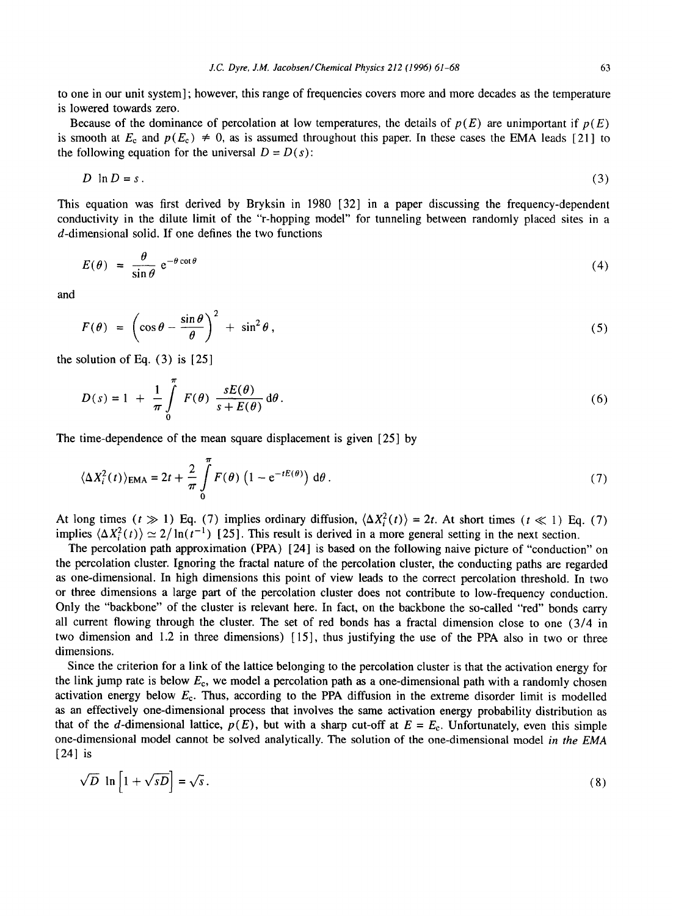to one in our unit system] ; however, this range of frequencies covers more and more decades as the temperature is lowered towards zero.

Because of the dominance of percolation at low temperatures, the details of  $p(E)$  are unimportant if  $p(E)$ is smooth at  $E_c$  and  $p(E_c) \neq 0$ , as is assumed throughout this paper. In these cases the EMA leads [21] to the following equation for the universal  $D = D(s)$ :

$$
D \ln D = s. \tag{3}
$$

This equation was first derived by Bryksin in 1980 [32] in a paper discussing the frequency-dependent conductivity in the dilute limit of the "r-hopping model" for tunneling between randomly placed sites in a d-dimensional solid. If one defines the two functions

$$
E(\theta) = \frac{\theta}{\sin \theta} e^{-\theta \cot \theta} \tag{4}
$$

and

$$
F(\theta) = \left(\cos\theta - \frac{\sin\theta}{\theta}\right)^2 + \sin^2\theta,
$$
\n(5)

the solution of Eq.  $(3)$  is  $[25]$ 

$$
D(s) = 1 + \frac{1}{\pi} \int_{0}^{\pi} F(\theta) \frac{sE(\theta)}{s + E(\theta)} d\theta.
$$
 (6)

The time-dependence of the mean square displacement is given [25] by

$$
\langle \Delta X_i^2(t) \rangle_{\text{EMA}} = 2t + \frac{2}{\pi} \int_0^{\pi} F(\theta) \left( 1 - e^{-tE(\theta)} \right) d\theta. \tag{7}
$$

At long times  $(t \gg 1)$  Eq. (7) implies ordinary diffusion,  $\langle \Delta X_i^2(t) \rangle = 2t$ . At short times  $(t \ll 1)$  Eq. (7) implies  $\langle \Delta X_i^2(t) \rangle \simeq 2/\ln(t^{-1})$  [25]. This result is derived in a more general setting in the next section.

The percolation path approximation (PPA) [24] is based on the following naive picture of "conduction" on the percolation cluster. Ignoring the fractal nature of the percolation cluster, the conducting paths are regarded as one-dimensional. In high dimensions this point of view leads to the correct percolation threshold. In two or three dimensions a large part of the percolation cluster does not contribute to low-frequency conduction. Only the "backbone" of the cluster is relevant here. In fact, on the backbone the so-called "red" bonds carry all current flowing through the cluster. The set of red bonds has a fractal dimension close to one (3/4 in two dimension and 1.2 in three dimensions) [15], thus justifying the use of the PPA also in two or three dimensions.

Since the criterion for a link of the lattice belonging to the percolation cluster is that the activation energy for the link jump rate is below  $E_c$ , we model a percolation path as a one-dimensional path with a randomly chosen activation energy below  $E<sub>c</sub>$ . Thus, according to the PPA diffusion in the extreme disorder limit is modelled as an effectively one-dimensional process that involves the same activation energy probability distribution as that of the d-dimensional lattice,  $p(E)$ , but with a sharp cut-off at  $E = E_c$ . Unfortunately, even this simple one-dimensional model cannot be solved analytically. The solution of the one-dimensional model *in the EMA*  [24] is

$$
\sqrt{D} \ln \left[ 1 + \sqrt{sD} \right] = \sqrt{s} \,. \tag{8}
$$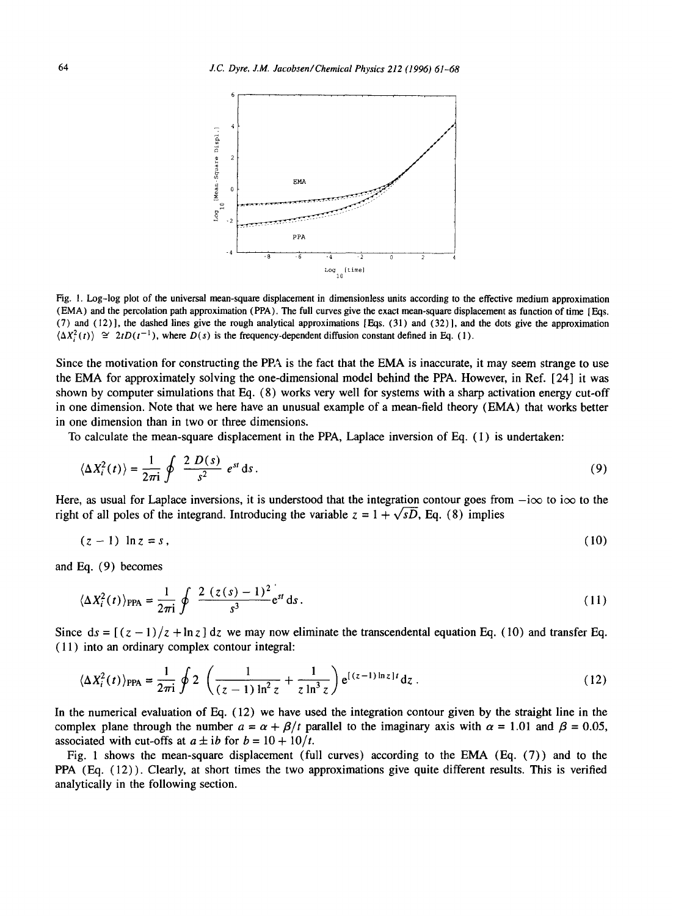

Fig. 1. Log-log plot of the universal mean-square displacement in dimensionless units according to the effective medium approximation (EMA) and the percolation path approximation (PPA). The full curves give the exact mean-square displacement as function of time lEqs. (7) and (12)], the dashed lines give the rough analytical approximations [Eqs. (31) and (32)], and the dots give the approximation  $\langle \Delta X_i^2(t) \rangle \cong 2tD(t^{-1})$ , where  $D(s)$  is the frequency-dependent diffusion constant defined in Eq. (1).

Since the motivation for constructing the PPA is the fact that the EMA is inaccurate, it may seem strange to use the EMA for approximately solving the one-dimensional model behind the PPA. However, in Ref. [24] it was shown by computer simulations that Eq. (8) works very well for systems with a sharp activation energy cut-off in one dimension. Note that we here have an unusual example of a mean-field theory (EMA) that works better in one dimension than in two or three dimensions.

To calculate the mean-square displacement in the PPA, Laplace inversion of Eq. ( 1 ) is undertaken:

$$
\langle \Delta X_i^2(t) \rangle = \frac{1}{2\pi i} \oint \frac{2 D(s)}{s^2} e^{st} ds. \tag{9}
$$

Here, as usual for Laplace inversions, it is understood that the integration contour goes from  $-i\infty$  to  $i\infty$  to the right of all poles of the integrand. Introducing the variable  $z = 1 + \sqrt{sD}$ , Eq. (8) implies

$$
(z-1)\ln z = s\,,\tag{10}
$$

and Eq. (9) becomes

$$
\langle \Delta X_i^2(t) \rangle_{\text{PPA}} = \frac{1}{2\pi i} \oint \frac{2 (z(s) - 1)^2}{s^3} e^{st} ds. \tag{11}
$$

Since  $ds = \frac{(z - 1)}{z + \ln z} dz$  we may now eliminate the transcendental equation Eq. (10) and transfer Eq. (11) into an ordinary complex contour integral:

$$
\langle \Delta X_i^2(t) \rangle_{\text{PPA}} = \frac{1}{2\pi i} \oint 2 \left( \frac{1}{(z-1) \ln^2 z} + \frac{1}{z \ln^3 z} \right) e^{[(z-1)\ln z]t} dz.
$$
 (12)

In the numerical evaluation of Eq. (12) we have used the integration contour given by the straight line in the complex plane through the number  $a = \alpha + \beta/t$  parallel to the imaginary axis with  $\alpha = 1.01$  and  $\beta = 0.05$ , associated with cut-offs at  $a \pm ib$  for  $b = 10 + 10/t$ .

Fig. 1 shows the mean-square displacement (full curves) according to the EMA (Eq. (7)) and to the PPA (Eq. (12)). Clearly, at short times the two approximations give quite different results. This is verified analytically in the following section.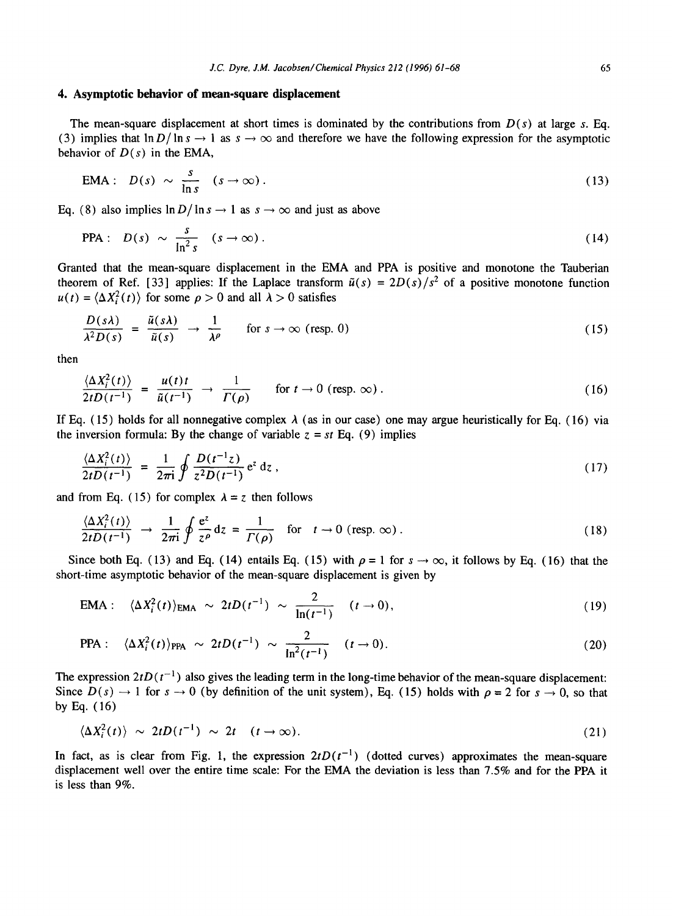# **4. Asymptotic behavior of mean-square displacement**

The mean-square displacement at short times is dominated by the contributions from  $D(s)$  at large s. Eq. (3) implies that  $\ln D/\ln s \to 1$  as  $s \to \infty$  and therefore we have the following expression for the asymptotic behavior of  $D(s)$  in the EMA,

$$
EMA: D(s) \sim \frac{s}{\ln s} (s \to \infty).
$$
 (13)

Eq. (8) also implies  $\ln D / \ln s \rightarrow 1$  as  $s \rightarrow \infty$  and just as above

PPA: 
$$
D(s) \sim \frac{s}{\ln^2 s}
$$
  $(s \to \infty)$ . (14)

Granted that the mean-square displacement in the EMA and PPA is positive and monotone the Tauberian theorem of Ref. [33] applies: If the Laplace transform  $\tilde{u}(s) = 2D(s)/s^2$  of a positive monotone function  $u(t) = \langle \Delta X_i^2(t) \rangle$  for some  $\rho > 0$  and all  $\lambda > 0$  satisfies

$$
\frac{D(s\lambda)}{\lambda^2 D(s)} = \frac{\tilde{u}(s\lambda)}{\tilde{u}(s)} \rightarrow \frac{1}{\lambda^{\rho}} \quad \text{for } s \to \infty \text{ (resp. 0)}
$$
 (15)

then

 $\mathbf{r}$ 

$$
\frac{\langle \Delta X_i^2(t) \rangle}{2tD(t^{-1})} = \frac{u(t)t}{\tilde{u}(t^{-1})} \to \frac{1}{\Gamma(\rho)} \quad \text{for } t \to 0 \text{ (resp. } \infty \text{)}.
$$
 (16)

If Eq. (15) holds for all nonnegative complex  $\lambda$  (as in our case) one may argue heuristically for Eq. (16) via the inversion formula: By the change of variable  $z = st$  Eq. (9) implies

$$
\frac{\langle \Delta X_i^2(t) \rangle}{2tD(t^{-1})} = \frac{1}{2\pi i} \oint \frac{D(t^{-1}z)}{z^2D(t^{-1})} e^z dz , \qquad (17)
$$

and from Eq. (15) for complex  $\lambda = z$  then follows

$$
\frac{\langle \Delta X_i^2(t) \rangle}{2tD(t^{-1})} \to \frac{1}{2\pi i} \oint \frac{e^z}{z^{\rho}} dz = \frac{1}{\Gamma(\rho)} \quad \text{for} \quad t \to 0 \text{ (resp. } \infty \text{)}.
$$
 (18)

Since both Eq. (13) and Eq. (14) entails Eq. (15) with  $\rho = 1$  for  $s \to \infty$ , it follows by Eq. (16) that the short-time asymptotic behavior of the mean-square displacement is given by

$$
EMA: \quad \langle \Delta X_i^2(t) \rangle_{\text{EMA}} \sim 2t D(t^{-1}) \sim \frac{2}{\ln(t^{-1})} \quad (t \to 0), \tag{19}
$$

PPA: 
$$
\langle \Delta X_i^2(t) \rangle_{\text{PPA}} \sim 2t D(t^{-1}) \sim \frac{2}{\ln^2(t^{-1})} \quad (t \to 0).
$$
 (20)

The expression  $2tD(t^{-1})$  also gives the leading term in the long-time behavior of the mean-square displacement: Since  $D(s) \rightarrow 1$  for  $s \rightarrow 0$  (by definition of the unit system), Eq. (15) holds with  $\rho = 2$  for  $s \rightarrow 0$ , so that by Eq. (16)

$$
\langle \Delta X_i^2(t) \rangle \sim 2t D(t^{-1}) \sim 2t \quad (t \to \infty).
$$
 (21)

In fact, as is clear from Fig. 1, the expression  $2tD(t^{-1})$  (dotted curves) approximates the mean-square displacement well over the entire time scale: For the EMA the deviation is less than 7.5% and for the PPA it is less than 9%.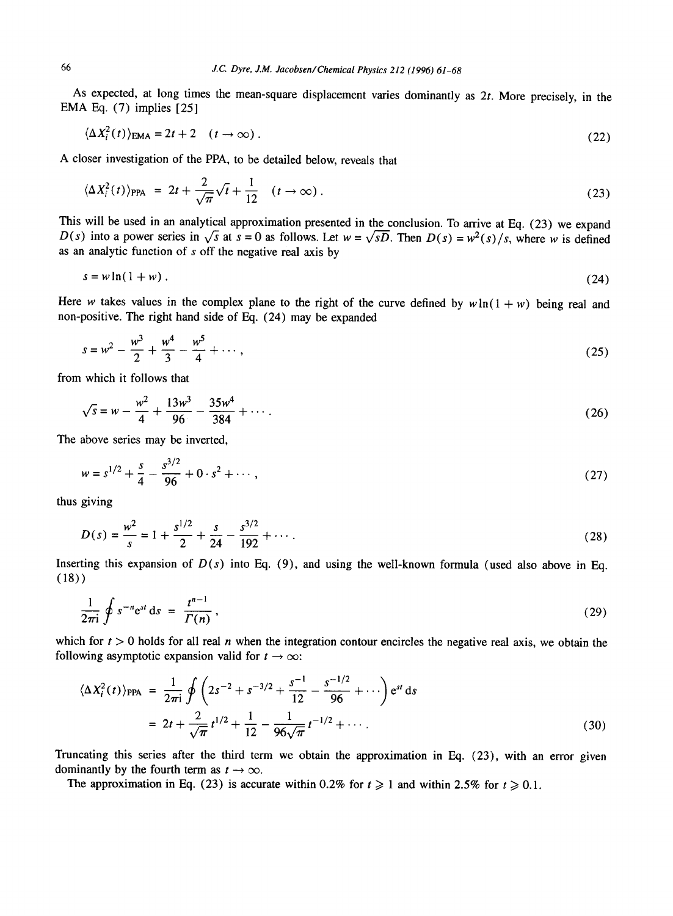As expected, at long times the mean-square displacement varies dominantly as  $2t$ . More precisely, in the EMA Eq. (7) implies [25]

$$
\langle \Delta X_i^2(t) \rangle_{\text{EMA}} = 2t + 2 \quad (t \to \infty) \,. \tag{22}
$$

A closer investigation of the PPA, to be detailed below, reveals that

$$
\langle \Delta X_i^2(t) \rangle_{\text{PPA}} = 2t + \frac{2}{\sqrt{\pi}} \sqrt{t} + \frac{1}{12} \quad (t \to \infty) \,. \tag{23}
$$

This will be used in an analytical approximation presented in the conclusion. To arrive at Eq. (23) we expand *D(s)* into a power series in  $\sqrt{s}$  at  $s = 0$  as follows. Let  $w = \sqrt{sD}$ . Then  $D(s) = w^2(s)/s$ , where w is defined as an analytic function of s off the negative real axis by

$$
s = w \ln(1 + w) \tag{24}
$$

Here w takes values in the complex plane to the right of the curve defined by  $w \ln(1 + w)$  being real and non-positive. The right hand side of Eq. (24) may be expanded

$$
s = w^2 - \frac{w^3}{2} + \frac{w^4}{3} - \frac{w^5}{4} + \cdots,
$$
 (25)

from which it follows that

$$
\sqrt{s} = w - \frac{w^2}{4} + \frac{13w^3}{96} - \frac{35w^4}{384} + \cdots
$$
 (26)

The above series may be inverted,

$$
w = s^{1/2} + \frac{s}{4} - \frac{s^{3/2}}{96} + 0 \cdot s^2 + \cdots,
$$
 (27)

thus giving

$$
D(s) = \frac{w^2}{s} = 1 + \frac{s^{1/2}}{2} + \frac{s}{24} - \frac{s^{3/2}}{192} + \cdots
$$
 (28)

Inserting this expansion of  $D(s)$  into Eq. (9), and using the well-known formula (used also above in Eq. (18))

$$
\frac{1}{2\pi i}\oint s^{-n}e^{st}ds = \frac{t^{n-1}}{\Gamma(n)},\qquad(29)
$$

which for  $t > 0$  holds for all real n when the integration contour encircles the negative real axis, we obtain the following asymptotic expansion valid for  $t \to \infty$ :

$$
\langle \Delta X_i^2(t) \rangle_{\text{PPA}} = \frac{1}{2\pi i} \oint \left( 2s^{-2} + s^{-3/2} + \frac{s^{-1}}{12} - \frac{s^{-1/2}}{96} + \cdots \right) e^{st} ds
$$
  
=  $2t + \frac{2}{\sqrt{\pi}} t^{1/2} + \frac{1}{12} - \frac{1}{96\sqrt{\pi}} t^{-1/2} + \cdots$  (30)

Truncating this series after the third term we obtain the approximation in Eq. (23), with an error given dominantly by the fourth term as  $t \to \infty$ .

The approximation in Eq. (23) is accurate within 0.2% for  $t \ge 1$  and within 2.5% for  $t \ge 0.1$ .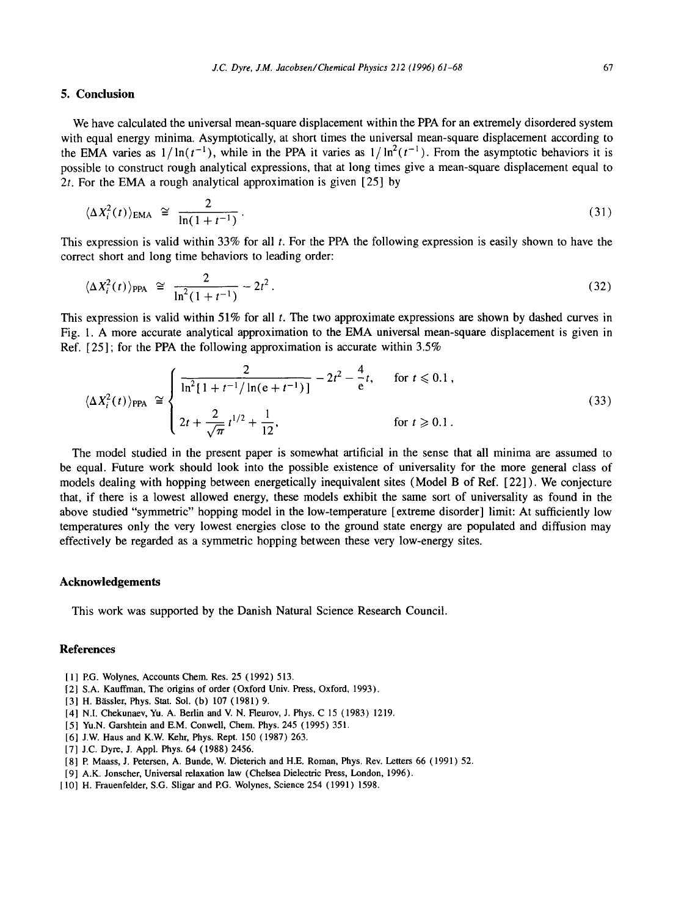# **5. Conclusion**

We have calculated the universal mean-square displacement within the PPA for an extremely disordered system with equal energy minima. Asymptotically, at short times the universal mean-square displacement according to the EMA varies as  $1/\ln(t^{-1})$ , while in the PPA it varies as  $1/\ln^2(t^{-1})$ . From the asymptotic behaviors it is possible to construct rough analytical expressions, that at long times give a mean-square displacement equal to 2t. For the EMA a rough analytical approximation is given  $[25]$  by

$$
\langle \Delta X_i^2(t) \rangle_{\text{EMA}} \cong \frac{2}{\ln(1+t^{-1})} \,. \tag{31}
$$

This expression is valid within 33% for all  $t$ . For the PPA the following expression is easily shown to have the correct short and long time behaviors to leading order:

$$
\langle \Delta X_i^2(t) \rangle_{\text{PPA}} \cong \frac{2}{\ln^2(1+t^{-1})} - 2t^2. \tag{32}
$$

This expression is valid within  $51\%$  for all t. The two approximate expressions are shown by dashed curves in Fig. 1. A more accurate analytical approximation to the EMA universal mean-square displacement is given in Ref. [25]; for the PPA the following approximation is accurate within 3.5%

$$
\langle \Delta X_i^2(t) \rangle_{\text{PPA}} \cong \begin{cases} \frac{2}{\ln^2[1+t^{-1}/\ln(e+t^{-1})]} - 2t^2 - \frac{4}{e}t, & \text{for } t \le 0.1, \\ 2t + \frac{2}{\sqrt{\pi}} t^{1/2} + \frac{1}{12}, & \text{for } t \ge 0.1. \end{cases}
$$
(33)

The model studied in the present paper is somewhat artificial in the sense that all minima are assumed to be equal. Future work should look into the possible existence of universality for the more general class of models dealing with hopping between energetically inequivalent sites (Model B of Ref. [22] ). We conjecture that, if there is a lowest allowed energy, these models exhibit the same sort of universality as found in the above studied "symmetric" hopping model in the low-temperature [extreme disorder] limit: At sufficiently low temperatures only the very lowest energies close to the ground state energy are populated and diffusion may effectively be regarded as a symmetric hopping between these very low-energy sites.

#### **Acknowledgements**

This work was supported by the Danish Natural Science Research Council.

# **References**

- 11] EG. Wolynes, Accounts Chem. Res. 25 (1992) 513.
- [2] S.A. Kauffman, The origins of order (Oxford Univ. Press, Oxford, 1993).
- [3] H. Bässler, Phys. Stat. Sol. (b) 107 (1981) 9.
- [4] N.I. Chekunaev, Yu. A. Berlin and V. N. Fleurov, J. Phys. C 15 (1983) 1219.
- [5] Yu.N. Garshtein and E.M. Conwell, Chem. Phys. 245 (1995) 351.
- [6] J.W. Haus and K.W. Kehr, Phys. Rept. 150 (1987) 263.
- [7] J.C. Dyre, J. Appl. Phys. 64 (1988) 2456.
- [8] P. Maass, J. Petersen, A. Bunde, W. Dieterich and H.E. Roman, Phys. Rev. Letters 66 (1991) 52.
- [9] A.K. Jonscher, Universal relaxation law (Chelsea Dielectric Press, London, 1996).
- [10] H. Frauenfelder, S.G. Sligar and P.G. Wolynes, Science 254 (1991) 1598.